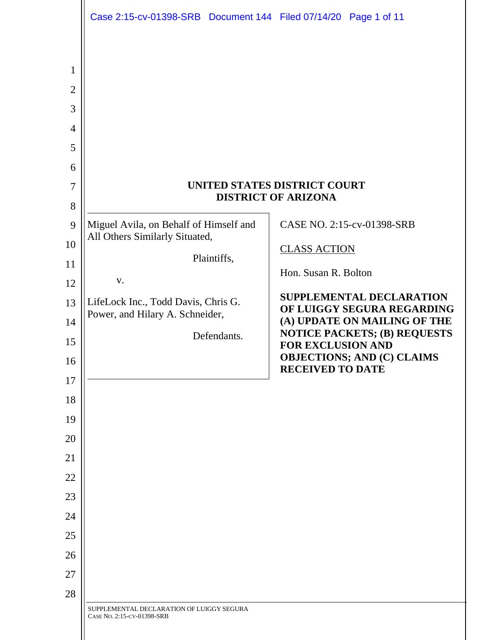|                                                                                                                                                                                                  | Case 2:15-cv-01398-SRB  Document 144  Filed 07/14/20  Page 1 of 11                                                                                                                                                                  |                                                                                                                                                                                                                                                                                                                                                                             |
|--------------------------------------------------------------------------------------------------------------------------------------------------------------------------------------------------|-------------------------------------------------------------------------------------------------------------------------------------------------------------------------------------------------------------------------------------|-----------------------------------------------------------------------------------------------------------------------------------------------------------------------------------------------------------------------------------------------------------------------------------------------------------------------------------------------------------------------------|
| 1<br>$\mathbf{2}$<br>3<br>$\overline{4}$<br>5<br>6<br>$\overline{7}$<br>8<br>9<br>10<br>11<br>12<br>13<br>14<br>15<br>16<br>17<br>18<br>19<br>20<br>21<br>22<br>23<br>24<br>25<br>26<br>27<br>28 | Miguel Avila, on Behalf of Himself and<br>All Others Similarly Situated,<br>Plaintiffs,<br>V.<br>LifeLock Inc., Todd Davis, Chris G.<br>Power, and Hilary A. Schneider,<br>Defendants.<br>SUPPLEMENTAL DECLARATION OF LUIGGY SEGURA | UNITED STATES DISTRICT COURT<br><b>DISTRICT OF ARIZONA</b><br>CASE NO. 2:15-cv-01398-SRB<br><b>CLASS ACTION</b><br>Hon. Susan R. Bolton<br><b>SUPPLEMENTAL DECLARATION</b><br>OF LUIGGY SEGURA REGARDING<br>(A) UPDATE ON MAILING OF THE<br><b>NOTICE PACKETS; (B) REQUESTS</b><br><b>FOR EXCLUSION AND</b><br><b>OBJECTIONS; AND (C) CLAIMS</b><br><b>RECEIVED TO DATE</b> |
|                                                                                                                                                                                                  | CASE NO. 2:15-CV-01398-SRB                                                                                                                                                                                                          |                                                                                                                                                                                                                                                                                                                                                                             |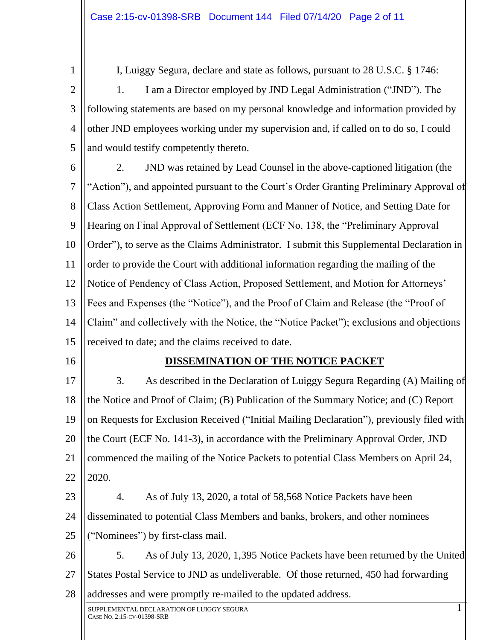1

I, Luiggy Segura, declare and state as follows, pursuant to 28 U.S.C. § 1746:

2 3 4 5 1. I am a Director employed by JND Legal Administration ("JND"). The following statements are based on my personal knowledge and information provided by other JND employees working under my supervision and, if called on to do so, I could and would testify competently thereto.

- 6 7 8 9 10 11 12 13 14 15 2. JND was retained by Lead Counsel in the above-captioned litigation (the "Action"), and appointed pursuant to the Court's Order Granting Preliminary Approval of Class Action Settlement, Approving Form and Manner of Notice, and Setting Date for Hearing on Final Approval of Settlement (ECF No. 138, the "Preliminary Approval Order"), to serve as the Claims Administrator. I submit this Supplemental Declaration in order to provide the Court with additional information regarding the mailing of the Notice of Pendency of Class Action, Proposed Settlement, and Motion for Attorneys' Fees and Expenses (the "Notice"), and the Proof of Claim and Release (the "Proof of Claim" and collectively with the Notice, the "Notice Packet"); exclusions and objections received to date; and the claims received to date.
	- 16

### **DISSEMINATION OF THE NOTICE PACKET**

17 18 19 20 21 22 3. As described in the Declaration of Luiggy Segura Regarding (A) Mailing of the Notice and Proof of Claim; (B) Publication of the Summary Notice; and (C) Report on Requests for Exclusion Received ("Initial Mailing Declaration"), previously filed with the Court (ECF No. 141-3), in accordance with the Preliminary Approval Order, JND commenced the mailing of the Notice Packets to potential Class Members on April 24, 2020.

23 24 25 4. As of July 13, 2020, a total of 58,568 Notice Packets have been disseminated to potential Class Members and banks, brokers, and other nominees ("Nominees") by first-class mail.

26 27 28 5. As of July 13, 2020, 1,395 Notice Packets have been returned by the United States Postal Service to JND as undeliverable. Of those returned, 450 had forwarding addresses and were promptly re-mailed to the updated address.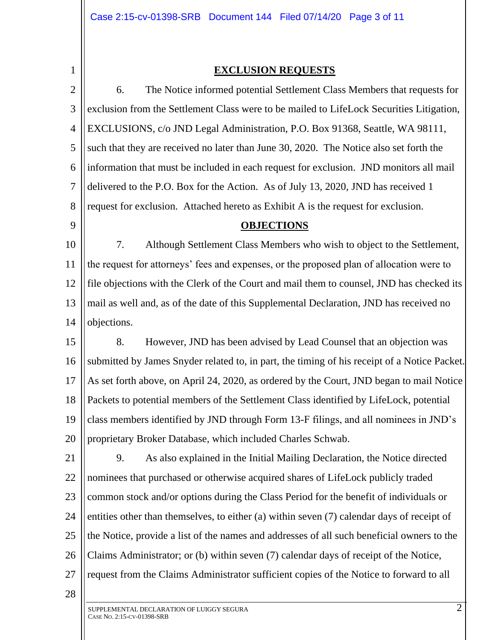1

### **EXCLUSION REQUESTS**

2 3 4 5 6 7 8 9 10 11 12 13 14 15 16 17 18 19 20 21 22 23 24 25 26 27 6. The Notice informed potential Settlement Class Members that requests for exclusion from the Settlement Class were to be mailed to LifeLock Securities Litigation, EXCLUSIONS, c/o JND Legal Administration, P.O. Box 91368, Seattle, WA 98111, such that they are received no later than June 30, 2020. The Notice also set forth the information that must be included in each request for exclusion. JND monitors all mail delivered to the P.O. Box for the Action. As of July 13, 2020, JND has received 1 request for exclusion. Attached hereto as Exhibit A is the request for exclusion. **OBJECTIONS** 7. Although Settlement Class Members who wish to object to the Settlement, the request for attorneys' fees and expenses, or the proposed plan of allocation were to file objections with the Clerk of the Court and mail them to counsel, JND has checked its mail as well and, as of the date of this Supplemental Declaration, JND has received no objections. 8. However, JND has been advised by Lead Counsel that an objection was submitted by James Snyder related to, in part, the timing of his receipt of a Notice Packet. As set forth above, on April 24, 2020, as ordered by the Court, JND began to mail Notice Packets to potential members of the Settlement Class identified by LifeLock, potential class members identified by JND through Form 13-F filings, and all nominees in JND's proprietary Broker Database, which included Charles Schwab. 9. As also explained in the Initial Mailing Declaration, the Notice directed nominees that purchased or otherwise acquired shares of LifeLock publicly traded common stock and/or options during the Class Period for the benefit of individuals or entities other than themselves, to either (a) within seven (7) calendar days of receipt of the Notice, provide a list of the names and addresses of all such beneficial owners to the Claims Administrator; or (b) within seven (7) calendar days of receipt of the Notice, request from the Claims Administrator sufficient copies of the Notice to forward to all

28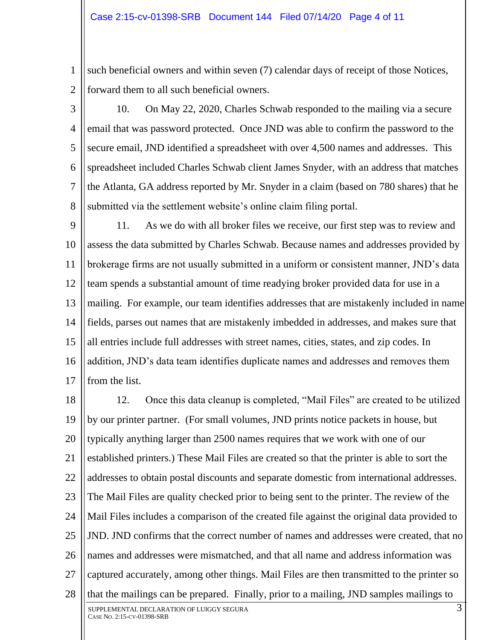1 2 such beneficial owners and within seven (7) calendar days of receipt of those Notices, forward them to all such beneficial owners.

3

4 5 6 7 8 10. On May 22, 2020, Charles Schwab responded to the mailing via a secure email that was password protected. Once JND was able to confirm the password to the secure email, JND identified a spreadsheet with over 4,500 names and addresses. This spreadsheet included Charles Schwab client James Snyder, with an address that matches the Atlanta, GA address reported by Mr. Snyder in a claim (based on 780 shares) that he submitted via the settlement website's online claim filing portal.

9 10 11 12 13 14 15 16 17 11. As we do with all broker files we receive, our first step was to review and assess the data submitted by Charles Schwab. Because names and addresses provided by brokerage firms are not usually submitted in a uniform or consistent manner, JND's data team spends a substantial amount of time readying broker provided data for use in a mailing. For example, our team identifies addresses that are mistakenly included in name fields, parses out names that are mistakenly imbedded in addresses, and makes sure that all entries include full addresses with street names, cities, states, and zip codes. In addition, JND's data team identifies duplicate names and addresses and removes them from the list.

18 19 20 21 22 23 24 25 26 27 28 12. Once this data cleanup is completed, "Mail Files" are created to be utilized by our printer partner. (For small volumes, JND prints notice packets in house, but typically anything larger than 2500 names requires that we work with one of our established printers.) These Mail Files are created so that the printer is able to sort the addresses to obtain postal discounts and separate domestic from international addresses. The Mail Files are quality checked prior to being sent to the printer. The review of the Mail Files includes a comparison of the created file against the original data provided to JND. JND confirms that the correct number of names and addresses were created, that no names and addresses were mismatched, and that all name and address information was captured accurately, among other things. Mail Files are then transmitted to the printer so that the mailings can be prepared. Finally, prior to a mailing, JND samples mailings to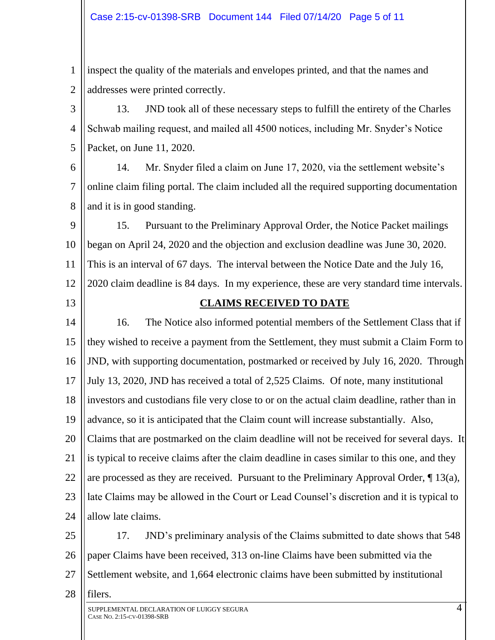1 2 inspect the quality of the materials and envelopes printed, and that the names and addresses were printed correctly.

3 4 5 13. JND took all of these necessary steps to fulfill the entirety of the Charles Schwab mailing request, and mailed all 4500 notices, including Mr. Snyder's Notice Packet, on June 11, 2020.

6 7 8 14. Mr. Snyder filed a claim on June 17, 2020, via the settlement website's online claim filing portal. The claim included all the required supporting documentation and it is in good standing.

9 10 11 12 15. Pursuant to the Preliminary Approval Order, the Notice Packet mailings began on April 24, 2020 and the objection and exclusion deadline was June 30, 2020. This is an interval of 67 days. The interval between the Notice Date and the July 16, 2020 claim deadline is 84 days. In my experience, these are very standard time intervals.

13

## **CLAIMS RECEIVED TO DATE**

14 15 16 17 18 19 20 21 22 23 24 16. The Notice also informed potential members of the Settlement Class that if they wished to receive a payment from the Settlement, they must submit a Claim Form to JND, with supporting documentation, postmarked or received by July 16, 2020. Through July 13, 2020, JND has received a total of 2,525 Claims. Of note, many institutional investors and custodians file very close to or on the actual claim deadline, rather than in advance, so it is anticipated that the Claim count will increase substantially. Also, Claims that are postmarked on the claim deadline will not be received for several days. It is typical to receive claims after the claim deadline in cases similar to this one, and they are processed as they are received. Pursuant to the Preliminary Approval Order, ¶ 13(a), late Claims may be allowed in the Court or Lead Counsel's discretion and it is typical to allow late claims.

25 26 27 17. JND's preliminary analysis of the Claims submitted to date shows that 548 paper Claims have been received, 313 on-line Claims have been submitted via the Settlement website, and 1,664 electronic claims have been submitted by institutional

28 filers.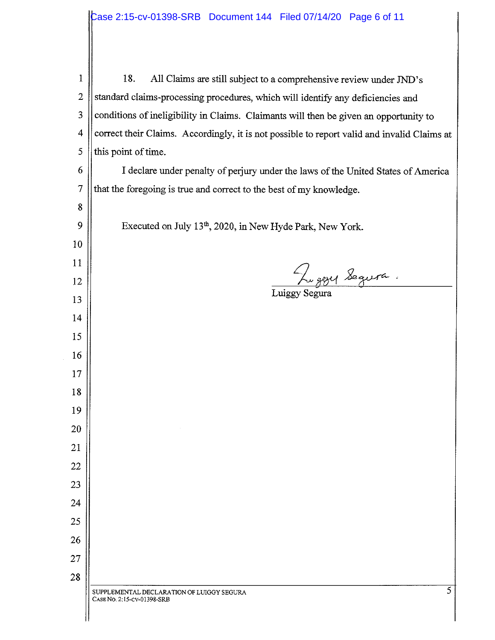| $\mathbf 1$              | 18.<br>All Claims are still subject to a comprehensive review under JND's                   |  |  |  |  |  |
|--------------------------|---------------------------------------------------------------------------------------------|--|--|--|--|--|
| $\overline{2}$           | standard claims-processing procedures, which will identify any deficiencies and             |  |  |  |  |  |
| 3                        | conditions of ineligibility in Claims. Claimants will then be given an opportunity to       |  |  |  |  |  |
| $\overline{\mathcal{A}}$ | correct their Claims. Accordingly, it is not possible to report valid and invalid Claims at |  |  |  |  |  |
| 5                        | this point of time.                                                                         |  |  |  |  |  |
| 6                        | I declare under penalty of perjury under the laws of the United States of America           |  |  |  |  |  |
| $\overline{7}$           | that the foregoing is true and correct to the best of my knowledge.                         |  |  |  |  |  |
| 8                        |                                                                                             |  |  |  |  |  |
| 9                        | Executed on July 13 <sup>th</sup> , 2020, in New Hyde Park, New York.                       |  |  |  |  |  |
| 10                       |                                                                                             |  |  |  |  |  |
| 11                       |                                                                                             |  |  |  |  |  |
| 12                       | Luggy Segura.                                                                               |  |  |  |  |  |
| 13                       |                                                                                             |  |  |  |  |  |
| 14                       |                                                                                             |  |  |  |  |  |
| 15                       |                                                                                             |  |  |  |  |  |
| 16                       |                                                                                             |  |  |  |  |  |
| 17                       |                                                                                             |  |  |  |  |  |
| 18                       |                                                                                             |  |  |  |  |  |
| 19                       |                                                                                             |  |  |  |  |  |
| 20                       |                                                                                             |  |  |  |  |  |
| 21                       |                                                                                             |  |  |  |  |  |
| 22                       |                                                                                             |  |  |  |  |  |
| 23                       |                                                                                             |  |  |  |  |  |
| 24                       |                                                                                             |  |  |  |  |  |
| 25                       |                                                                                             |  |  |  |  |  |
| 26                       |                                                                                             |  |  |  |  |  |
| 27                       |                                                                                             |  |  |  |  |  |
| 28                       |                                                                                             |  |  |  |  |  |
|                          | 5<br>SUPPLEMENTAL DECLARATION OF LUIGGY SEGURA<br>CASE No. 2:15-CV-01398-SRB                |  |  |  |  |  |
|                          |                                                                                             |  |  |  |  |  |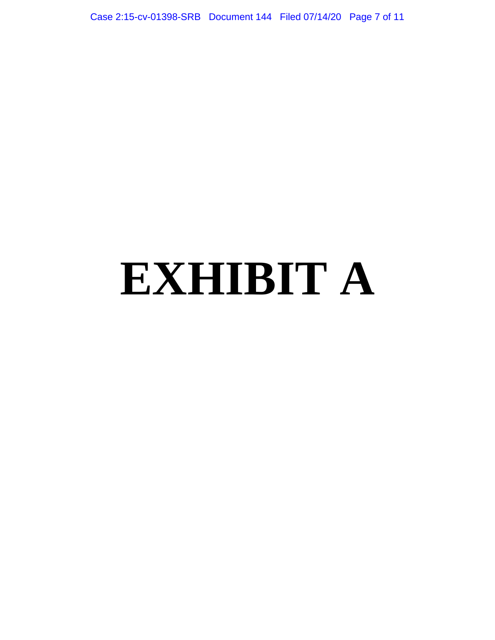Case 2:15-cv-01398-SRB Document 144 Filed 07/14/20 Page 7 of 11

# **EXHIBIT A**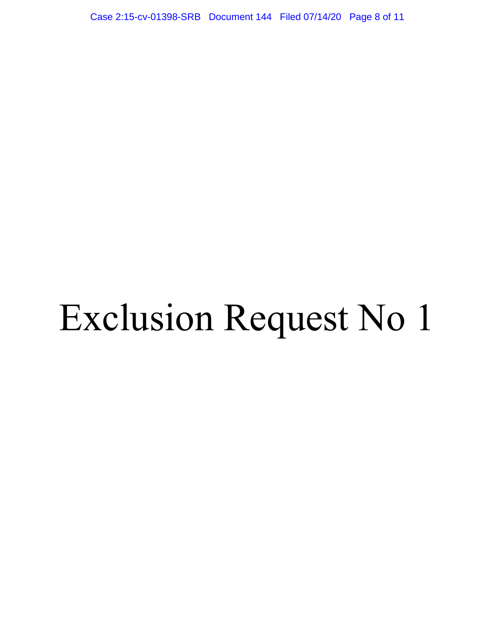Case 2:15-cv-01398-SRB Document 144 Filed 07/14/20 Page 8 of 11

# Exclusion Request No 1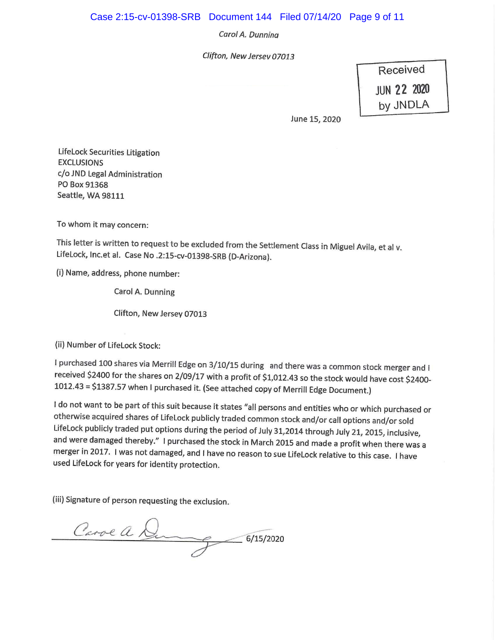### Case 2:15-cv-01398-SRB Document 144 Filed 07/14/20 Page 9 of 11

#### Carol A. Dunning

Clifton, New Jersev 07013

Received **JUN 22 2020** by JNDLA

June 15, 2020

LifeLock Securities Litigation **EXCLUSIONS** c/o JND Legal Administration PO Box 91368 Seattle, WA 98111

To whom it may concern:

This letter is written to request to be excluded from the Settlement Class in Miguel Avila, et al v. LifeLock, Inc.et al. Case No .2:15-cv-01398-SRB (D-Arizona).

(i) Name, address, phone number:

Carol A. Dunning

Clifton, New Jersey 07013

(ii) Number of LifeLock Stock:

I purchased 100 shares via Merrill Edge on 3/10/15 during and there was a common stock merger and I received \$2400 for the shares on 2/09/17 with a profit of \$1,012.43 so the stock would have cost \$2400-1012.43 = \$1387.57 when I purchased it. (See attached copy of Merrill Edge Document.)

I do not want to be part of this suit because it states "all persons and entities who or which purchased or otherwise acquired shares of LifeLock publicly traded common stock and/or call options and/or sold LifeLock publicly traded put options during the period of July 31,2014 through July 21, 2015, inclusive, and were damaged thereby." I purchased the stock in March 2015 and made a profit when there was a merger in 2017. I was not damaged, and I have no reason to sue LifeLock relative to this case. I have used LifeLock for years for identity protection.

(iii) Signature of person requesting the exclusion.

Carol a Du  $-6/15/2020$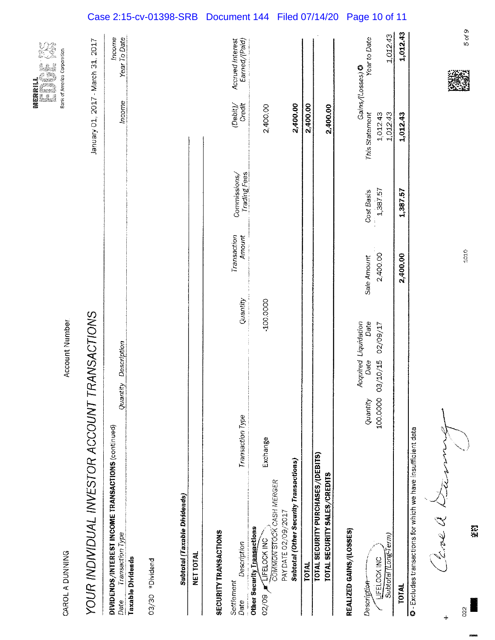|                                                                                                            |                  |                       |           |                       |                              |                                     | 瓣窦殿殿11<br>i <b>k</b><br>Verba<br>á |
|------------------------------------------------------------------------------------------------------------|------------------|-----------------------|-----------|-----------------------|------------------------------|-------------------------------------|------------------------------------|
| CAROL A DUNNING                                                                                            |                  | <b>Account Number</b> |           |                       |                              |                                     | Bank of America Corporation        |
| YOUR INDIVIDUAL INVESTOR ACCOUNT TRANSACTIONS                                                              |                  |                       |           |                       |                              | January 01, 2017 - March 31, 2017   |                                    |
| DIVIDENDS/INTEREST INCOME TRANSACTIONS (continued)<br>Transaction Type<br>Date                             |                  | Quantity Description  |           |                       |                              | Income                              | Income<br>Year To Date             |
| <b>Taxable Dividends</b>                                                                                   |                  |                       |           |                       |                              |                                     |                                    |
| 03/30 *Dividend                                                                                            |                  |                       |           |                       |                              |                                     |                                    |
| <b>Subtotal (Taxable Dividends)</b>                                                                        |                  |                       |           |                       |                              |                                     |                                    |
| NET TOTAL                                                                                                  |                  |                       |           |                       |                              |                                     |                                    |
| <b>SECURITY TRANSACTIONS</b>                                                                               |                  |                       |           |                       |                              |                                     |                                    |
| Description<br>Settlement<br>Date                                                                          | Transaction Type |                       | Quantity  | Transaction<br>Amount | Trading Fees<br>Commissions/ | Creatt<br>$\langle$ Debit $\rangle$ | Earned/(Paid)<br>Accrued Interest  |
| Exchange<br>COMMON STOCK CASH MERGER<br><b>Other Security Ligagearions</b><br><b>LIFELOCK INC</b><br>02/09 |                  |                       | -100.0000 |                       |                              | 2,400.00                            |                                    |
| <b>Subtotal (Other Security Transactions)</b><br>PAY DATE 02/09/2017                                       |                  |                       |           |                       |                              | 2,400.00                            |                                    |
| <b>TOTAL</b>                                                                                               |                  |                       |           |                       |                              | 2,400.00                            |                                    |
| TOTAL SECURITY PURCHASES/(DEBITS)<br>TOTAL SECURITY SALES/CREDITS                                          |                  |                       |           |                       |                              | 2,400.00                            |                                    |
| REALIZED GAINS/(LOSSES)                                                                                    |                  | Acquired Liquidation  |           |                       |                              |                                     | Gains/(Losses) @                   |
| Description-                                                                                               | Quantity         | Date                  | Date      | Sale Amount           | Cost Basis                   | This Statement                      | Year to Date                       |
| Subtotal (Long-Term)<br>LIFELOCK INC                                                                       | 100.0000         | 02/09/17<br>02/10/15  |           | 2,400.00              | 1,387.57                     | 1,012.43<br>1,012.43                | 1,012.43                           |
| <b>TOTAL</b>                                                                                               |                  |                       |           | 2,400.00              | 1,387.57                     | 1,012.43                            | 1,012.43                           |
| <b>C</b> - Excludes transactions for which we have insufficient data                                       |                  |                       |           |                       |                              |                                     |                                    |

Clevel Die

眾業

 $\overline{22}$ 

 $\ddot{}$ 

5 of 9

1010

Case 2:15-cv-01398-SRB Document 144 Filed 07/14/20 Page 10 of 11